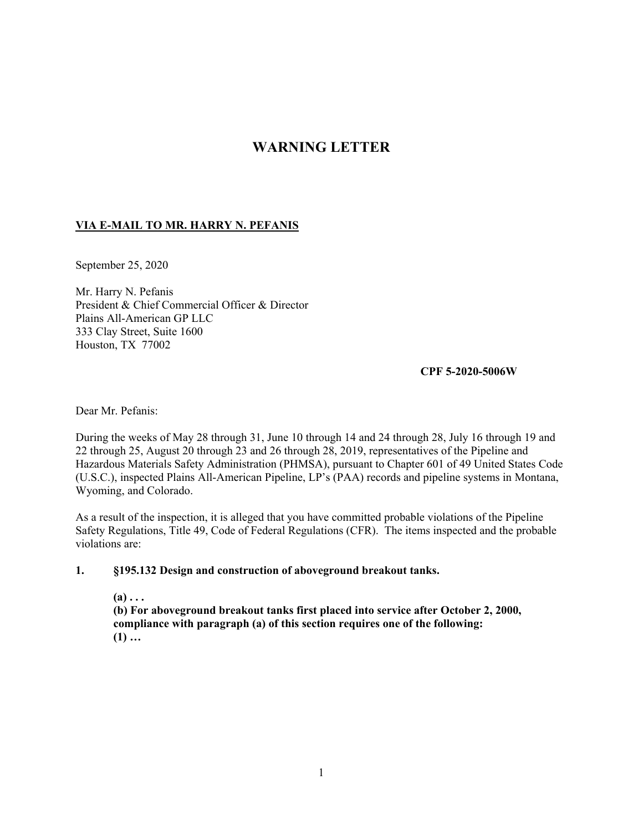# **WARNING LETTER**

## **VIA E-MAIL TO MR. HARRY N. PEFANIS**

September 25, 2020

Mr. Harry N. Pefanis President & Chief Commercial Officer & Director Plains All-American GP LLC 333 Clay Street, Suite 1600 Houston, TX 77002

**CPF 5-2020-5006W** 

Dear Mr. Pefanis:

During the weeks of May 28 through 31, June 10 through 14 and 24 through 28, July 16 through 19 and 22 through 25, August 20 through 23 and 26 through 28, 2019, representatives of the Pipeline and Hazardous Materials Safety Administration (PHMSA), pursuant to Chapter 601 of 49 United States Code (U.S.C.), inspected Plains All-American Pipeline, LP's (PAA) records and pipeline systems in Montana, Wyoming, and Colorado.

As a result of the inspection, it is alleged that you have committed probable violations of the Pipeline Safety Regulations, Title 49, Code of Federal Regulations (CFR). The items inspected and the probable violations are:

#### **1. §195.132 Design and construction of aboveground breakout tanks.**

 $(a) \ldots$ **(b) For aboveground breakout tanks first placed into service after October 2, 2000, compliance with paragraph (a) of this section requires one of the following: (1) …**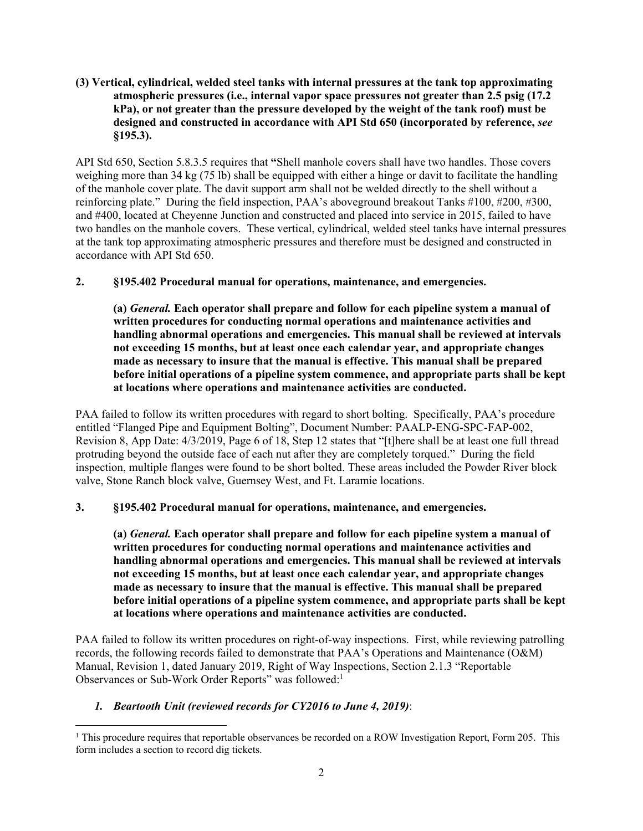#### **(3) Vertical, cylindrical, welded steel tanks with internal pressures at the tank top approximating atmospheric pressures (i.e., internal vapor space pressures not greater than 2.5 psig (17.2 kPa), or not greater than the pressure developed by the weight of the tank roof) must be designed and constructed in accordance with API Std 650 (incorporated by reference,** *see*  **§195.3).**

API Std 650, Section 5.8.3.5 requires that **"**Shell manhole covers shall have two handles. Those covers weighing more than 34 kg (75 lb) shall be equipped with either a hinge or davit to facilitate the handling of the manhole cover plate. The davit support arm shall not be welded directly to the shell without a reinforcing plate." During the field inspection, PAA's aboveground breakout Tanks #100, #200, #300, and #400, located at Cheyenne Junction and constructed and placed into service in 2015, failed to have two handles on the manhole covers. These vertical, cylindrical, welded steel tanks have internal pressures at the tank top approximating atmospheric pressures and therefore must be designed and constructed in accordance with API Std 650.

## **2. §195.402 Procedural manual for operations, maintenance, and emergencies.**

**(a)** *General.* **Each operator shall prepare and follow for each pipeline system a manual of written procedures for conducting normal operations and maintenance activities and handling abnormal operations and emergencies. This manual shall be reviewed at intervals not exceeding 15 months, but at least once each calendar year, and appropriate changes made as necessary to insure that the manual is effective. This manual shall be prepared before initial operations of a pipeline system commence, and appropriate parts shall be kept at locations where operations and maintenance activities are conducted.** 

PAA failed to follow its written procedures with regard to short bolting. Specifically, PAA's procedure entitled "Flanged Pipe and Equipment Bolting", Document Number: PAALP-ENG-SPC-FAP-002, Revision 8, App Date: 4/3/2019, Page 6 of 18, Step 12 states that "[t]here shall be at least one full thread protruding beyond the outside face of each nut after they are completely torqued." During the field inspection, multiple flanges were found to be short bolted. These areas included the Powder River block valve, Stone Ranch block valve, Guernsey West, and Ft. Laramie locations.

# **3. §195.402 Procedural manual for operations, maintenance, and emergencies.**

**(a)** *General.* **Each operator shall prepare and follow for each pipeline system a manual of written procedures for conducting normal operations and maintenance activities and handling abnormal operations and emergencies. This manual shall be reviewed at intervals not exceeding 15 months, but at least once each calendar year, and appropriate changes made as necessary to insure that the manual is effective. This manual shall be prepared before initial operations of a pipeline system commence, and appropriate parts shall be kept at locations where operations and maintenance activities are conducted.** 

PAA failed to follow its written procedures on right-of-way inspections. First, while reviewing patrolling records, the following records failed to demonstrate that PAA's Operations and Maintenance (O&M) Manual, Revision 1, dated January 2019, Right of Way Inspections, Section 2.1.3 "Reportable Observances or Sub-Work Order Reports" was followed:<sup>1</sup>

# *1. Beartooth Unit (reviewed records for CY2016 to June 4, 2019)*:

 $\overline{a}$ 

 form includes a section to record dig tickets. <sup>1</sup> This procedure requires that reportable observances be recorded on a ROW Investigation Report, Form 205. This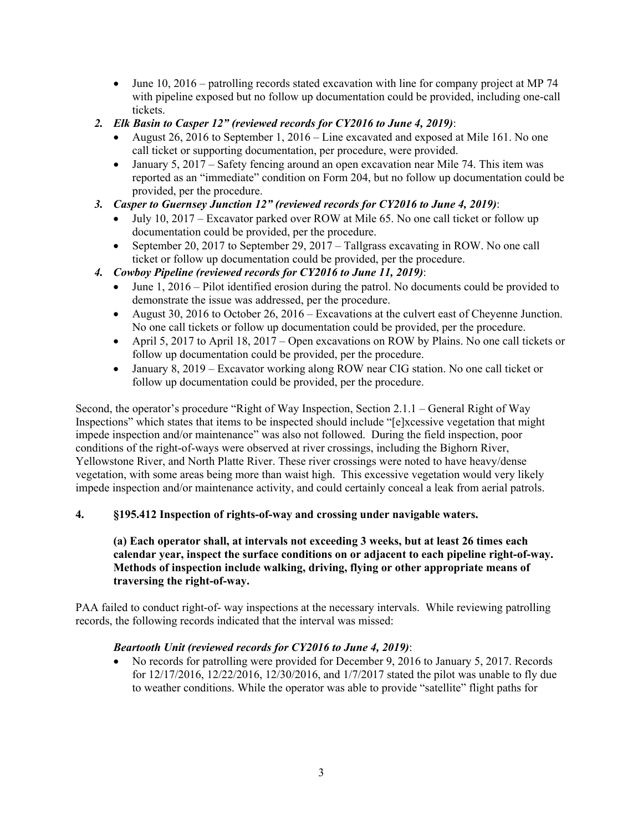- $\bullet$  June 10, 2016 patrolling records stated excavation with line for company project at MP 74 with pipeline exposed but no follow up documentation could be provided, including one-call tickets.
- *2. Elk Basin to Casper 12" (reviewed records for CY2016 to June 4, 2019)*:
	- August 26, 2016 to September 1, 2016 Line excavated and exposed at Mile 161. No one call ticket or supporting documentation, per procedure, were provided.
	- January 5, 2017 Safety fencing around an open excavation near Mile 74. This item was reported as an "immediate" condition on Form 204, but no follow up documentation could be provided, per the procedure.
- *3. Casper to Guernsey Junction 12" (reviewed records for CY2016 to June 4, 2019)*:
	- July 10, 2017 Excavator parked over ROW at Mile 65. No one call ticket or follow up documentation could be provided, per the procedure.
	- September 20, 2017 to September 29, 2017 Tallgrass excavating in ROW. No one call ticket or follow up documentation could be provided, per the procedure.
- *4. Cowboy Pipeline (reviewed records for CY2016 to June 11, 2019)*:
	- June 1, 2016 Pilot identified erosion during the patrol. No documents could be provided to demonstrate the issue was addressed, per the procedure.
	- August 30, 2016 to October 26, 2016 Excavations at the culvert east of Cheyenne Junction. No one call tickets or follow up documentation could be provided, per the procedure.
	- April 5, 2017 to April 18, 2017 Open excavations on ROW by Plains. No one call tickets or follow up documentation could be provided, per the procedure.
	- January 8, 2019 Excavator working along ROW near CIG station. No one call ticket or follow up documentation could be provided, per the procedure.

Second, the operator's procedure "Right of Way Inspection, Section 2.1.1 – General Right of Way Inspections" which states that items to be inspected should include "[e]xcessive vegetation that might impede inspection and/or maintenance" was also not followed. During the field inspection, poor conditions of the right-of-ways were observed at river crossings, including the Bighorn River, Yellowstone River, and North Platte River. These river crossings were noted to have heavy/dense vegetation, with some areas being more than waist high. This excessive vegetation would very likely impede inspection and/or maintenance activity, and could certainly conceal a leak from aerial patrols.

#### **4. §195.412 Inspection of rights-of-way and crossing under navigable waters.**

#### **(a) Each operator shall, at intervals not exceeding 3 weeks, but at least 26 times each calendar year, inspect the surface conditions on or adjacent to each pipeline right-of-way. Methods of inspection include walking, driving, flying or other appropriate means of traversing the right-of-way.**

PAA failed to conduct right-of- way inspections at the necessary intervals. While reviewing patrolling records, the following records indicated that the interval was missed:

#### *Beartooth Unit (reviewed records for CY2016 to June 4, 2019)*:

 No records for patrolling were provided for December 9, 2016 to January 5, 2017. Records for 12/17/2016, 12/22/2016, 12/30/2016, and 1/7/2017 stated the pilot was unable to fly due to weather conditions. While the operator was able to provide "satellite" flight paths for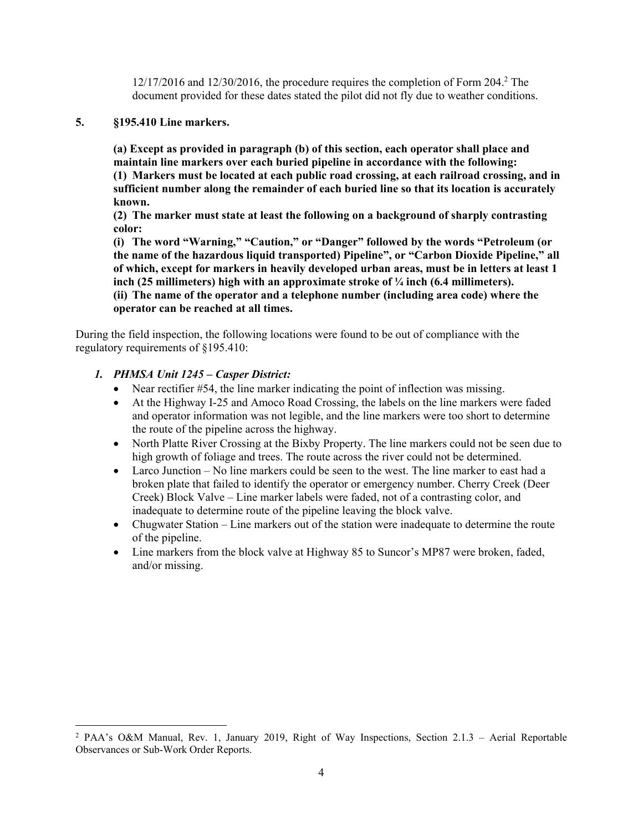$12/17/2016$  and  $12/30/2016$ , the procedure requires the completion of Form  $204.2$  The document provided for these dates stated the pilot did not fly due to weather conditions.

## **5. §195.410 Line markers.**

**(a) Except as provided in paragraph (b) of this section, each operator shall place and maintain line markers over each buried pipeline in accordance with the following: (1) Markers must be located at each public road crossing, at each railroad crossing, and in sufficient number along the remainder of each buried line so that its location is accurately known.** 

**(2) The marker must state at least the following on a background of sharply contrasting color:** 

**(i) The word "Warning," "Caution," or "Danger" followed by the words "Petroleum (or the name of the hazardous liquid transported) Pipeline", or "Carbon Dioxide Pipeline," all of which, except for markers in heavily developed urban areas, must be in letters at least 1 inch (25 millimeters) high with an approximate stroke of ¼ inch (6.4 millimeters). (ii) The name of the operator and a telephone number (including area code) where the** 

## **operator can be reached at all times.**

During the field inspection, the following locations were found to be out of compliance with the regulatory requirements of §195.410:

## *1. PHMSA Unit 1245 – Casper District:*

 $\overline{a}$ 

- Near rectifier #54, the line marker indicating the point of inflection was missing.
- the route of the pipeline across the highway. At the Highway I-25 and Amoco Road Crossing, the labels on the line markers were faded and operator information was not legible, and the line markers were too short to determine
- North Platte River Crossing at the Bixby Property. The line markers could not be seen due to high growth of foliage and trees. The route across the river could not be determined.
- Larco Junction No line markers could be seen to the west. The line marker to east had a broken plate that failed to identify the operator or emergency number. Cherry Creek (Deer Creek) Block Valve – Line marker labels were faded, not of a contrasting color, and inadequate to determine route of the pipeline leaving the block valve.
- Chugwater Station Line markers out of the station were inadequate to determine the route of the pipeline.
- Line markers from the block valve at Highway 85 to Suncor's MP87 were broken, faded, and/or missing.

<sup>&</sup>lt;sup>2</sup> PAA's O&M Manual, Rev. 1, January 2019, Right of Way Inspections, Section 2.1.3 – Aerial Reportable Observances or Sub-Work Order Reports.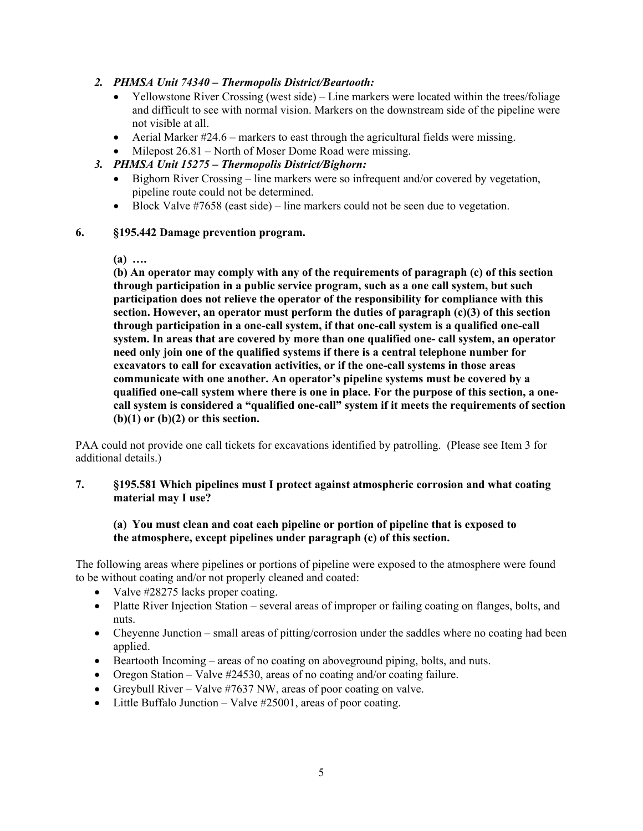## *2. PHMSA Unit 74340 – Thermopolis District/Beartooth:*

- Yellowstone River Crossing (west side) Line markers were located within the trees/foliage and difficult to see with normal vision. Markers on the downstream side of the pipeline were not visible at all.
- $\bullet$  Aerial Marker #24.6 markers to east through the agricultural fields were missing.
- Milepost 26.81 North of Moser Dome Road were missing.

## *3. PHMSA Unit 15275 – Thermopolis District/Bighorn:*

- Bighorn River Crossing line markers were so infrequent and/or covered by vegetation, pipeline route could not be determined.
- $\bullet$  Block Valve #7658 (east side) line markers could not be seen due to vegetation.

#### **6. §195.442 Damage prevention program.**

**(a) ….** 

**(b) An operator may comply with any of the requirements of paragraph (c) of this section through participation in a public service program, such as a one call system, but such participation does not relieve the operator of the responsibility for compliance with this section. However, an operator must perform the duties of paragraph (c)(3) of this section through participation in a one-call system, if that one-call system is a qualified one-call system. In areas that are covered by more than one qualified one- call system, an operator need only join one of the qualified systems if there is a central telephone number for excavators to call for excavation activities, or if the one-call systems in those areas communicate with one another. An operator's pipeline systems must be covered by a qualified one-call system where there is one in place. For the purpose of this section, a onecall system is considered a "qualified one-call" system if it meets the requirements of section (b)(1) or (b)(2) or this section.** 

 additional details.) PAA could not provide one call tickets for excavations identified by patrolling. (Please see Item 3 for

## **7. §195.581 Which pipelines must I protect against atmospheric corrosion and what coating material may I use?**

## **(a) You must clean and coat each pipeline or portion of pipeline that is exposed to the atmosphere, except pipelines under paragraph (c) of this section.**

The following areas where pipelines or portions of pipeline were exposed to the atmosphere were found to be without coating and/or not properly cleaned and coated:

- Valve  $\#28275$  lacks proper coating.
- Platte River Injection Station several areas of improper or failing coating on flanges, bolts, and nuts.
- Cheyenne Junction small areas of pitting/corrosion under the saddles where no coating had been applied.
- $\bullet$  Beartooth Incoming areas of no coating on aboveground piping, bolts, and nuts.
- Oregon Station Valve #24530, areas of no coating and/or coating failure.
- Greybull River Valve  $#7637$  NW, areas of poor coating on valve.
- Little Buffalo Junction Valve  $#25001$ , areas of poor coating.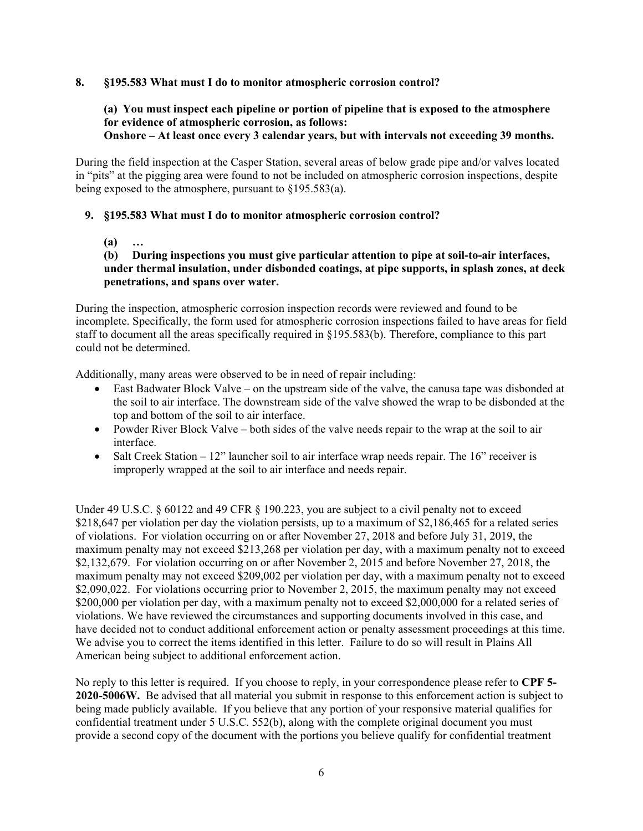#### **8. §195.583 What must I do to monitor atmospheric corrosion control?**

#### **(a) You must inspect each pipeline or portion of pipeline that is exposed to the atmosphere for evidence of atmospheric corrosion, as follows: Onshore – At least once every 3 calendar years, but with intervals not exceeding 39 months.**

During the field inspection at the Casper Station, several areas of below grade pipe and/or valves located in "pits" at the pigging area were found to not be included on atmospheric corrosion inspections, despite being exposed to the atmosphere, pursuant to §195.583(a).

## **9. §195.583 What must I do to monitor atmospheric corrosion control?**

**(a) …** 

# **(b) During inspections you must give particular attention to pipe at soil-to-air interfaces, under thermal insulation, under disbonded coatings, at pipe supports, in splash zones, at deck penetrations, and spans over water.**

During the inspection, atmospheric corrosion inspection records were reviewed and found to be incomplete. Specifically, the form used for atmospheric corrosion inspections failed to have areas for field staff to document all the areas specifically required in §195.583(b). Therefore, compliance to this part could not be determined.

Additionally, many areas were observed to be in need of repair including:

- East Badwater Block Valve on the upstream side of the valve, the canusa tape was disbonded at the soil to air interface. The downstream side of the valve showed the wrap to be disbonded at the top and bottom of the soil to air interface.
- Powder River Block Valve both sides of the valve needs repair to the wrap at the soil to air interface.
- $\bullet$  Salt Creek Station 12" launcher soil to air interface wrap needs repair. The 16" receiver is improperly wrapped at the soil to air interface and needs repair.

Under 49 U.S.C.  $\S 60122$  and 49 CFR  $\S 190.223$ , you are subject to a civil penalty not to exceed \$218,647 per violation per day the violation persists, up to a maximum of \$2,186,465 for a related series of violations. For violation occurring on or after November 27, 2018 and before July 31, 2019, the maximum penalty may not exceed \$213,268 per violation per day, with a maximum penalty not to exceed \$2,132,679. For violation occurring on or after November 2, 2015 and before November 27, 2018, the maximum penalty may not exceed \$209,002 per violation per day, with a maximum penalty not to exceed \$2,090,022. For violations occurring prior to November 2, 2015, the maximum penalty may not exceed \$200,000 per violation per day, with a maximum penalty not to exceed \$2,000,000 for a related series of violations. We have reviewed the circumstances and supporting documents involved in this case, and have decided not to conduct additional enforcement action or penalty assessment proceedings at this time. We advise you to correct the items identified in this letter. Failure to do so will result in Plains All American being subject to additional enforcement action.

No reply to this letter is required. If you choose to reply, in your correspondence please refer to **CPF 5- 2020-5006W.** Be advised that all material you submit in response to this enforcement action is subject to being made publicly available. If you believe that any portion of your responsive material qualifies for confidential treatment under 5 U.S.C. 552(b), along with the complete original document you must provide a second copy of the document with the portions you believe qualify for confidential treatment